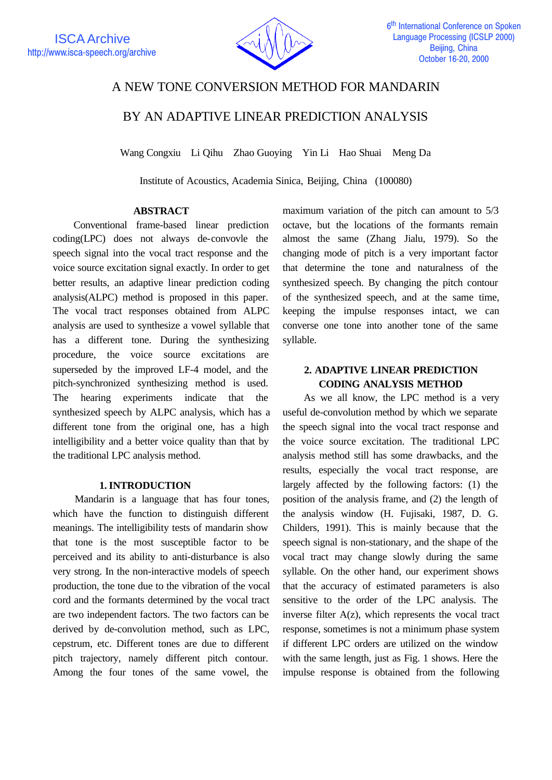

# A NEW TONE CONVERSION METHOD FOR MANDARIN

BY AN ADAPTIVE LINEAR PREDICTION ANALYSIS

Wang Congxiu Li Qihu Zhao Guoying Yin Li Hao Shuai Meng Da

Institute of Acoustics, Academia Sinica, Beijing, China (100080)

## **ABSTRACT**

 Conventional frame-based linear prediction coding(LPC) does not always de-convovle the speech signal into the vocal tract response and the voice source excitation signal exactly. In order to get better results, an adaptive linear prediction coding analysis(ALPC) method is proposed in this paper. The vocal tract responses obtained from ALPC analysis are used to synthesize a vowel syllable that has a different tone. During the synthesizing procedure, the voice source excitations are superseded by the improved LF-4 model, and the pitch-synchronized synthesizing method is used. The hearing experiments indicate that the synthesized speech by ALPC analysis, which has a different tone from the original one, has a high intelligibility and a better voice quality than that by the traditional LPC analysis method.

## **1. INTRODUCTION**

 Mandarin is a language that has four tones, which have the function to distinguish different meanings. The intelligibility tests of mandarin show that tone is the most susceptible factor to be perceived and its ability to anti-disturbance is also very strong. In the non-interactive models of speech production, the tone due to the vibration of the vocal cord and the formants determined by the vocal tract are two independent factors. The two factors can be derived by de-convolution method, such as LPC, cepstrum, etc. Different tones are due to different pitch trajectory, namely different pitch contour. Among the four tones of the same vowel, the

maximum variation of the pitch can amount to 5/3 octave, but the locations of the formants remain almost the same (Zhang Jialu, 1979). So the changing mode of pitch is a very important factor that determine the tone and naturalness of the synthesized speech. By changing the pitch contour of the synthesized speech, and at the same time, keeping the impulse responses intact, we can converse one tone into another tone of the same syllable.

## **2. ADAPTIVE LINEAR PREDICTION CODING ANALYSIS METHOD**

 As we all know, the LPC method is a very useful de-convolution method by which we separate the speech signal into the vocal tract response and the voice source excitation. The traditional LPC analysis method still has some drawbacks, and the results, especially the vocal tract response, are largely affected by the following factors: (1) the position of the analysis frame, and (2) the length of the analysis window (H. Fujisaki, 1987, D. G. Childers, 1991). This is mainly because that the speech signal is non-stationary, and the shape of the vocal tract may change slowly during the same syllable. On the other hand, our experiment shows that the accuracy of estimated parameters is also sensitive to the order of the LPC analysis. The inverse filter  $A(z)$ , which represents the vocal tract response, sometimes is not a minimum phase system if different LPC orders are utilized on the window with the same length, just as Fig. 1 shows. Here the impulse response is obtained from the following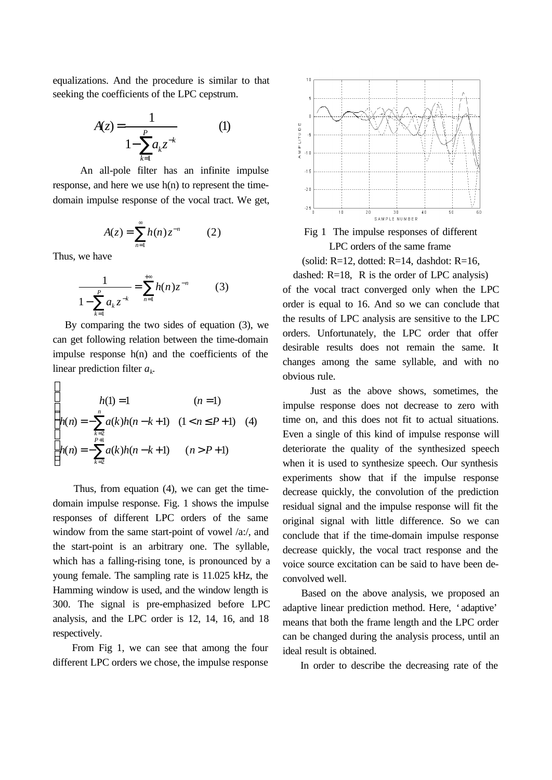equalizations. And the procedure is similar to that seeking the coefficients of the LPC cepstrum.

$$
A(z) = \frac{1}{1 - \sum_{k=1}^{P} a_k z^{-k}}
$$
 (1)

 An all-pole filter has an infinite impulse response, and here we use h(n) to represent the timedomain impulse response of the vocal tract. We get,

$$
A(z) = \sum_{n=1}^{\infty} h(n) z^{-n} \qquad (2)
$$

Thus, we have

 $\sqrt{ }$ 

$$
\frac{1}{1 - \sum_{k=1}^{P} a_k z^{-k}} = \sum_{n=1}^{+\infty} h(n) z^{-n}
$$
 (3)

 By comparing the two sides of equation (3), we can get following relation between the time-domain impulse response  $h(n)$  and the coefficients of the linear prediction filter *a<sup>k</sup> .*

$$
h(1) = 1 \qquad (n = 1)
$$
  
\n
$$
h(n) = -\sum_{\substack{k=2 \ k \neq 2}}^{n} a(k)h(n-k+1) \quad (1 < n \leq P+1) \quad (4)
$$
  
\n
$$
h(n) = -\sum_{\substack{k=2 \ k \neq 2}}^{P+1} a(k)h(n-k+1) \quad (n > P+1)
$$

Thus, from equation (4), we can get the timedomain impulse response. Fig. 1 shows the impulse responses of different LPC orders of the same window from the same start-point of vowel /a:/, and the start-point is an arbitrary one. The syllable, which has a falling-rising tone, is pronounced by a young female. The sampling rate is 11.025 kHz, the Hamming window is used, and the window length is 300. The signal is pre-emphasized before LPC analysis, and the LPC order is 12, 14, 16, and 18 respectively.

 From Fig 1, we can see that among the four different LPC orders we chose, the impulse response



Fig 1 The impulse responses of different LPC orders of the same frame

(solid:  $R=12$ , dotted:  $R=14$ , dashdot:  $R=16$ ,

dashed: R=18, R is the order of LPC analysis) of the vocal tract converged only when the LPC order is equal to 16. And so we can conclude that the results of LPC analysis are sensitive to the LPC orders. Unfortunately, the LPC order that offer desirable results does not remain the same. It changes among the same syllable, and with no obvious rule.

 Just as the above shows, sometimes, the impulse response does not decrease to zero with time on, and this does not fit to actual situations. Even a single of this kind of impulse response will deteriorate the quality of the synthesized speech when it is used to synthesize speech. Our synthesis experiments show that if the impulse response decrease quickly, the convolution of the prediction residual signal and the impulse response will fit the original signal with little difference. So we can conclude that if the time-domain impulse response decrease quickly, the vocal tract response and the voice source excitation can be said to have been deconvolved well.

 Based on the above analysis, we proposed an adaptive linear prediction method. Here, 'adaptive' means that both the frame length and the LPC order can be changed during the analysis process, until an ideal result is obtained.

In order to describe the decreasing rate of the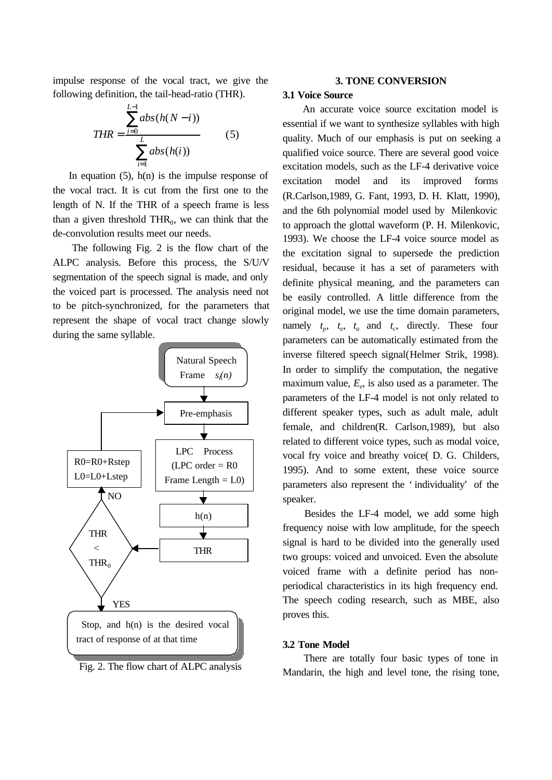impulse response of the vocal tract, we give the following definition, the tail-head-ratio (THR).

$$
THR = \frac{\sum_{i=0}^{L-1} abs(h(N-i))}{\sum_{i=1}^{L} abs(h(i))}
$$
 (5)

In equation  $(5)$ ,  $h(n)$  is the impulse response of the vocal tract. It is cut from the first one to the length of N. If the THR of a speech frame is less than a given threshold  $THR_0$ , we can think that the de-convolution results meet our needs.

 The following Fig. 2 is the flow chart of the ALPC analysis. Before this process, the S/U/V segmentation of the speech signal is made, and only the voiced part is processed. The analysis need not to be pitch-synchronized, for the parameters that represent the shape of vocal tract change slowly during the same syllable.



Fig. 2. The flow chart of ALPC analysis

#### **3. TONE CONVERSION**

#### **3.1 Voice Source**

 An accurate voice source excitation model is essential if we want to synthesize syllables with high quality. Much of our emphasis is put on seeking a qualified voice source. There are several good voice excitation models, such as the LF-4 derivative voice excitation model and its improved forms (R.Carlson,1989, G. Fant, 1993, D. H. Klatt, 1990), and the 6th polynomial model used by Milenkovic to approach the glottal waveform (P. H. Milenkovic, 1993). We choose the LF-4 voice source model as the excitation signal to supersede the prediction residual, because it has a set of parameters with definite physical meaning, and the parameters can be easily controlled. A little difference from the original model, we use the time domain parameters, namely  $t_p$ ,  $t_e$ ,  $t_a$  and  $t_c$ , directly. These four parameters can be automatically estimated from the inverse filtered speech signal(Helmer Strik, 1998). In order to simplify the computation, the negative maximum value, *E<sup>e</sup>* , is also used as a parameter. The parameters of the LF-4 model is not only related to different speaker types, such as adult male, adult female, and children(R. Carlson,1989), but also related to different voice types, such as modal voice, vocal fry voice and breathy voice( D. G. Childers, 1995). And to some extent, these voice source parameters also represent the 'individuality' of the speaker.

 Besides the LF-4 model, we add some high frequency noise with low amplitude, for the speech signal is hard to be divided into the generally used two groups: voiced and unvoiced. Even the absolute voiced frame with a definite period has nonperiodical characteristics in its high frequency end. The speech coding research, such as MBE, also proves this.

#### **3.2 Tone Model**

 There are totally four basic types of tone in Mandarin, the high and level tone, the rising tone,